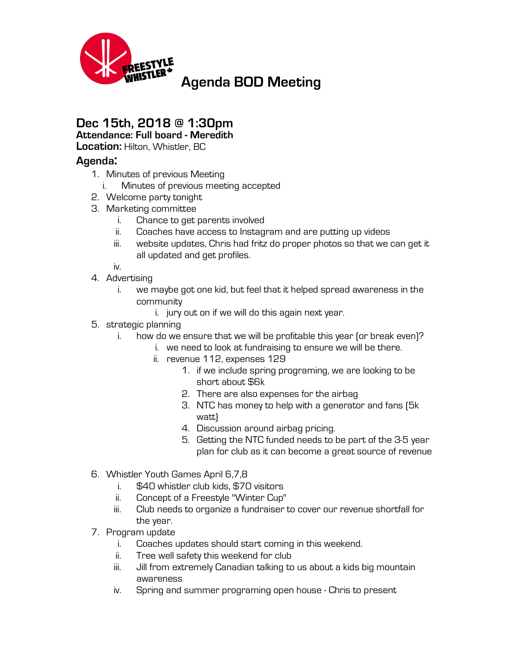

## **Dec 15th, 2018 @ 1:30pm**

**Attendance: Full board - Meredith**

**Location:** Hilton, Whistler, BC

## **Agenda:**

- 1. Minutes of previous Meeting
	- i. Minutes of previous meeting accepted
- 2. Welcome party tonight
- 3. Marketing committee
	- i. Chance to get parents involved
	- ii. Coaches have access to Instagram and are putting up videos
	- iii. website updates, Chris had fritz do proper photos so that we can get it all updated and get profiles.

iv.

- 4. Advertising
	- i. we maybe got one kid, but feel that it helped spread awareness in the community
		- i. jury out on if we will do this again next year.
- 5. strategic planning
	- i. how do we ensure that we will be profitable this year (or break even)?
		- i. we need to look at fundraising to ensure we will be there.
		- ii. revenue 112, expenses 129
			- 1. if we include spring programing, we are looking to be short about \$6k
			- 2. There are also expenses for the airbag
			- 3. NTC has money to help with a generator and fans (5k watt)
			- 4. Discussion around airbag pricing.
			- 5. Getting the NTC funded needs to be part of the 3-5 year plan for club as it can become a great source of revenue
- 6. Whistler Youth Games April 6,7,8
	- i. \$40 whistler club kids, \$70 visitors
	- ii. Concept of a Freestyle "Winter Cup"
	- iii. Club needs to organize a fundraiser to cover our revenue shortfall for the year.
- 7. Program update
	- i. Coaches updates should start coming in this weekend.
	- ii. Tree well safety this weekend for club
	- iii. Jill from extremely Canadian talking to us about a kids big mountain awareness
	- iv. Spring and summer programing open house Chris to present